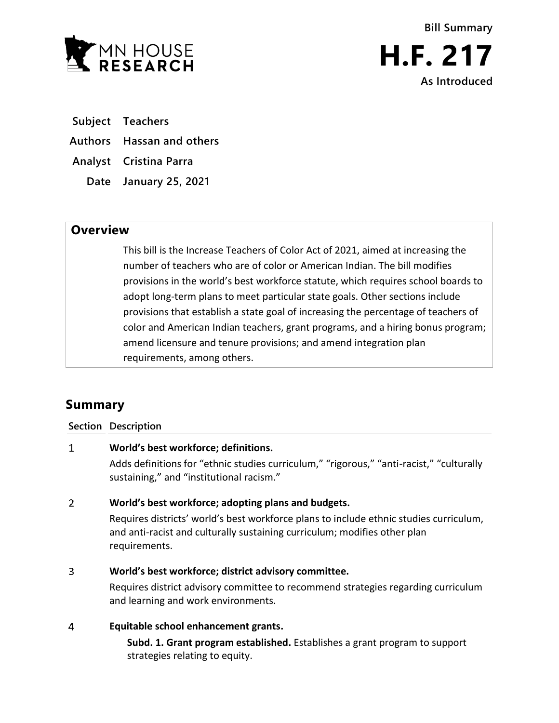

- **Subject Teachers**
- **Authors Hassan and others**
- **Analyst Cristina Parra**
	- **Date January 25, 2021**

## **Overview**

This bill is the Increase Teachers of Color Act of 2021, aimed at increasing the number of teachers who are of color or American Indian. The bill modifies provisions in the world's best workforce statute, which requires school boards to adopt long-term plans to meet particular state goals. Other sections include provisions that establish a state goal of increasing the percentage of teachers of color and American Indian teachers, grant programs, and a hiring bonus program; amend licensure and tenure provisions; and amend integration plan requirements, among others.

# **Summary**

### **Section Description**

#### $\mathbf{1}$ **World's best workforce; definitions.**

Adds definitions for "ethnic studies curriculum," "rigorous," "anti-racist," "culturally sustaining," and "institutional racism."

#### $\overline{2}$ **World's best workforce; adopting plans and budgets.**

Requires districts' world's best workforce plans to include ethnic studies curriculum, and anti-racist and culturally sustaining curriculum; modifies other plan requirements.

#### $\overline{3}$ **World's best workforce; district advisory committee.**

Requires district advisory committee to recommend strategies regarding curriculum and learning and work environments.

#### $\overline{4}$ **Equitable school enhancement grants.**

**Subd. 1. Grant program established.** Establishes a grant program to support strategies relating to equity.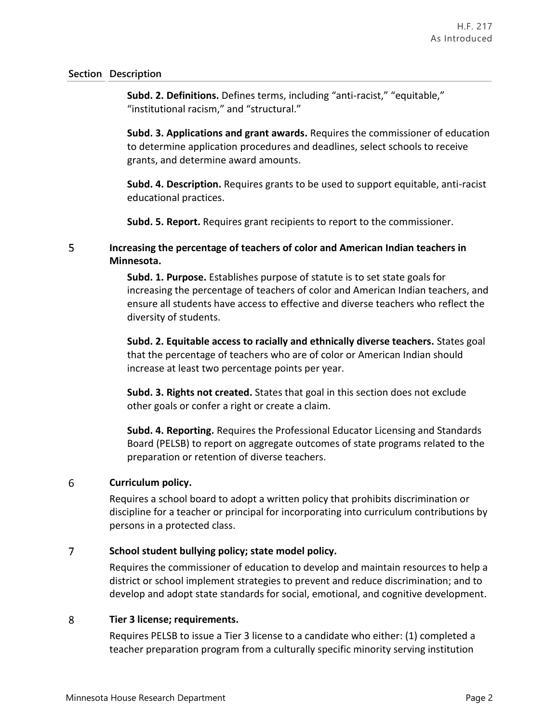**Subd. 2. Definitions.** Defines terms, including "anti-racist," "equitable," "institutional racism," and "structural."

**Subd. 3. Applications and grant awards.** Requires the commissioner of education to determine application procedures and deadlines, select schools to receive grants, and determine award amounts.

**Subd. 4. Description.** Requires grants to be used to support equitable, anti-racist educational practices.

**Subd. 5. Report.** Requires grant recipients to report to the commissioner.

### 5 **Increasing the percentage of teachers of color and American Indian teachers in Minnesota.**

**Subd. 1. Purpose.** Establishes purpose of statute is to set state goals for increasing the percentage of teachers of color and American Indian teachers, and ensure all students have access to effective and diverse teachers who reflect the diversity of students.

**Subd. 2. Equitable access to racially and ethnically diverse teachers.** States goal that the percentage of teachers who are of color or American Indian should increase at least two percentage points per year.

**Subd. 3. Rights not created.** States that goal in this section does not exclude other goals or confer a right or create a claim.

**Subd. 4. Reporting.** Requires the Professional Educator Licensing and Standards Board (PELSB) to report on aggregate outcomes of state programs related to the preparation or retention of diverse teachers.

#### 6 **Curriculum policy.**

Requires a school board to adopt a written policy that prohibits discrimination or discipline for a teacher or principal for incorporating into curriculum contributions by persons in a protected class.

#### $\overline{7}$ **School student bullying policy; state model policy.**

Requires the commissioner of education to develop and maintain resources to help a district or school implement strategies to prevent and reduce discrimination; and to develop and adopt state standards for social, emotional, and cognitive development.

#### 8 **Tier 3 license; requirements.**

Requires PELSB to issue a Tier 3 license to a candidate who either: (1) completed a teacher preparation program from a culturally specific minority serving institution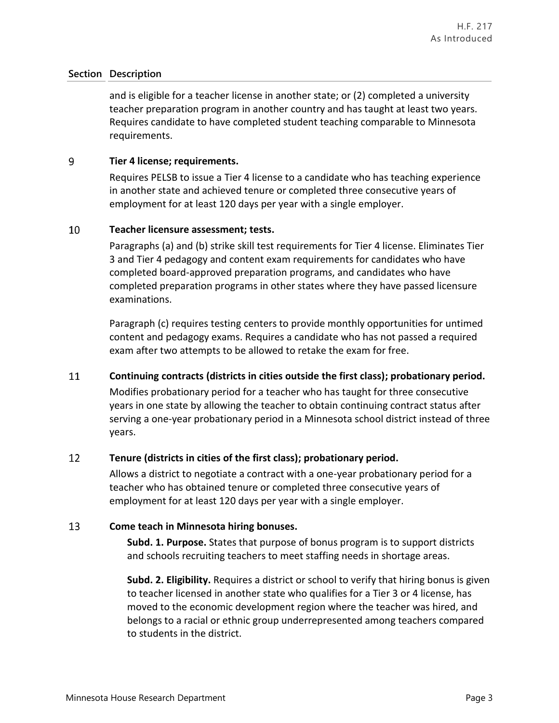and is eligible for a teacher license in another state; or (2) completed a university teacher preparation program in another country and has taught at least two years. Requires candidate to have completed student teaching comparable to Minnesota requirements.

#### 9 **Tier 4 license; requirements.**

Requires PELSB to issue a Tier 4 license to a candidate who has teaching experience in another state and achieved tenure or completed three consecutive years of employment for at least 120 days per year with a single employer.

#### 10 **Teacher licensure assessment; tests.**

Paragraphs (a) and (b) strike skill test requirements for Tier 4 license. Eliminates Tier 3 and Tier 4 pedagogy and content exam requirements for candidates who have completed board-approved preparation programs, and candidates who have completed preparation programs in other states where they have passed licensure examinations.

Paragraph (c) requires testing centers to provide monthly opportunities for untimed content and pedagogy exams. Requires a candidate who has not passed a required exam after two attempts to be allowed to retake the exam for free.

#### 11 **Continuing contracts (districts in cities outside the first class); probationary period.**

Modifies probationary period for a teacher who has taught for three consecutive years in one state by allowing the teacher to obtain continuing contract status after serving a one-year probationary period in a Minnesota school district instead of three years.

#### 12 **Tenure (districts in cities of the first class); probationary period.**

Allows a district to negotiate a contract with a one-year probationary period for a teacher who has obtained tenure or completed three consecutive years of employment for at least 120 days per year with a single employer.

#### 13 **Come teach in Minnesota hiring bonuses.**

**Subd. 1. Purpose.** States that purpose of bonus program is to support districts and schools recruiting teachers to meet staffing needs in shortage areas.

**Subd. 2. Eligibility.** Requires a district or school to verify that hiring bonus is given to teacher licensed in another state who qualifies for a Tier 3 or 4 license, has moved to the economic development region where the teacher was hired, and belongs to a racial or ethnic group underrepresented among teachers compared to students in the district.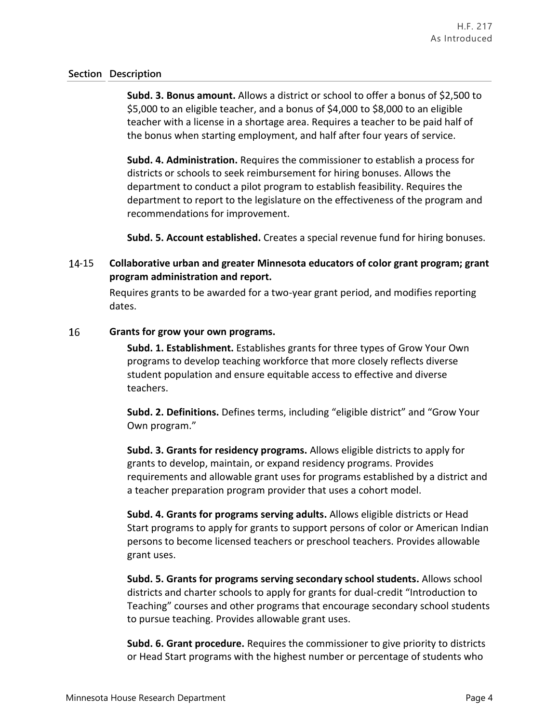**Subd. 3. Bonus amount.** Allows a district or school to offer a bonus of \$2,500 to \$5,000 to an eligible teacher, and a bonus of \$4,000 to \$8,000 to an eligible teacher with a license in a shortage area. Requires a teacher to be paid half of the bonus when starting employment, and half after four years of service.

**Subd. 4. Administration.** Requires the commissioner to establish a process for districts or schools to seek reimbursement for hiring bonuses. Allows the department to conduct a pilot program to establish feasibility. Requires the department to report to the legislature on the effectiveness of the program and recommendations for improvement.

**Subd. 5. Account established.** Creates a special revenue fund for hiring bonuses.

### -15 **Collaborative urban and greater Minnesota educators of color grant program; grant program administration and report.**

Requires grants to be awarded for a two-year grant period, and modifies reporting dates.

#### 16 **Grants for grow your own programs.**

**Subd. 1. Establishment.** Establishes grants for three types of Grow Your Own programs to develop teaching workforce that more closely reflects diverse student population and ensure equitable access to effective and diverse teachers.

**Subd. 2. Definitions.** Defines terms, including "eligible district" and "Grow Your Own program."

**Subd. 3. Grants for residency programs.** Allows eligible districts to apply for grants to develop, maintain, or expand residency programs. Provides requirements and allowable grant uses for programs established by a district and a teacher preparation program provider that uses a cohort model.

**Subd. 4. Grants for programs serving adults.** Allows eligible districts or Head Start programs to apply for grants to support persons of color or American Indian persons to become licensed teachers or preschool teachers. Provides allowable grant uses.

**Subd. 5. Grants for programs serving secondary school students.** Allows school districts and charter schools to apply for grants for dual-credit "Introduction to Teaching" courses and other programs that encourage secondary school students to pursue teaching. Provides allowable grant uses.

**Subd. 6. Grant procedure.** Requires the commissioner to give priority to districts or Head Start programs with the highest number or percentage of students who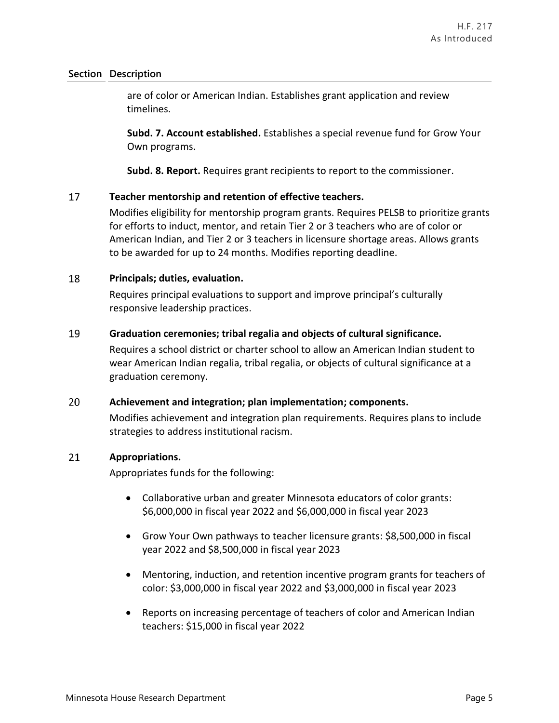are of color or American Indian. Establishes grant application and review timelines.

**Subd. 7. Account established.** Establishes a special revenue fund for Grow Your Own programs.

**Subd. 8. Report.** Requires grant recipients to report to the commissioner.

#### 17 **Teacher mentorship and retention of effective teachers.**

Modifies eligibility for mentorship program grants. Requires PELSB to prioritize grants for efforts to induct, mentor, and retain Tier 2 or 3 teachers who are of color or American Indian, and Tier 2 or 3 teachers in licensure shortage areas. Allows grants to be awarded for up to 24 months. Modifies reporting deadline.

#### 18 **Principals; duties, evaluation.**

Requires principal evaluations to support and improve principal's culturally responsive leadership practices.

#### 19 **Graduation ceremonies; tribal regalia and objects of cultural significance.**

Requires a school district or charter school to allow an American Indian student to wear American Indian regalia, tribal regalia, or objects of cultural significance at a graduation ceremony.

#### 20 **Achievement and integration; plan implementation; components.**

Modifies achievement and integration plan requirements. Requires plans to include strategies to address institutional racism.

#### 21 **Appropriations.**

Appropriates funds for the following:

- Collaborative urban and greater Minnesota educators of color grants: \$6,000,000 in fiscal year 2022 and \$6,000,000 in fiscal year 2023
- Grow Your Own pathways to teacher licensure grants: \$8,500,000 in fiscal year 2022 and \$8,500,000 in fiscal year 2023
- Mentoring, induction, and retention incentive program grants for teachers of color: \$3,000,000 in fiscal year 2022 and \$3,000,000 in fiscal year 2023
- Reports on increasing percentage of teachers of color and American Indian teachers: \$15,000 in fiscal year 2022